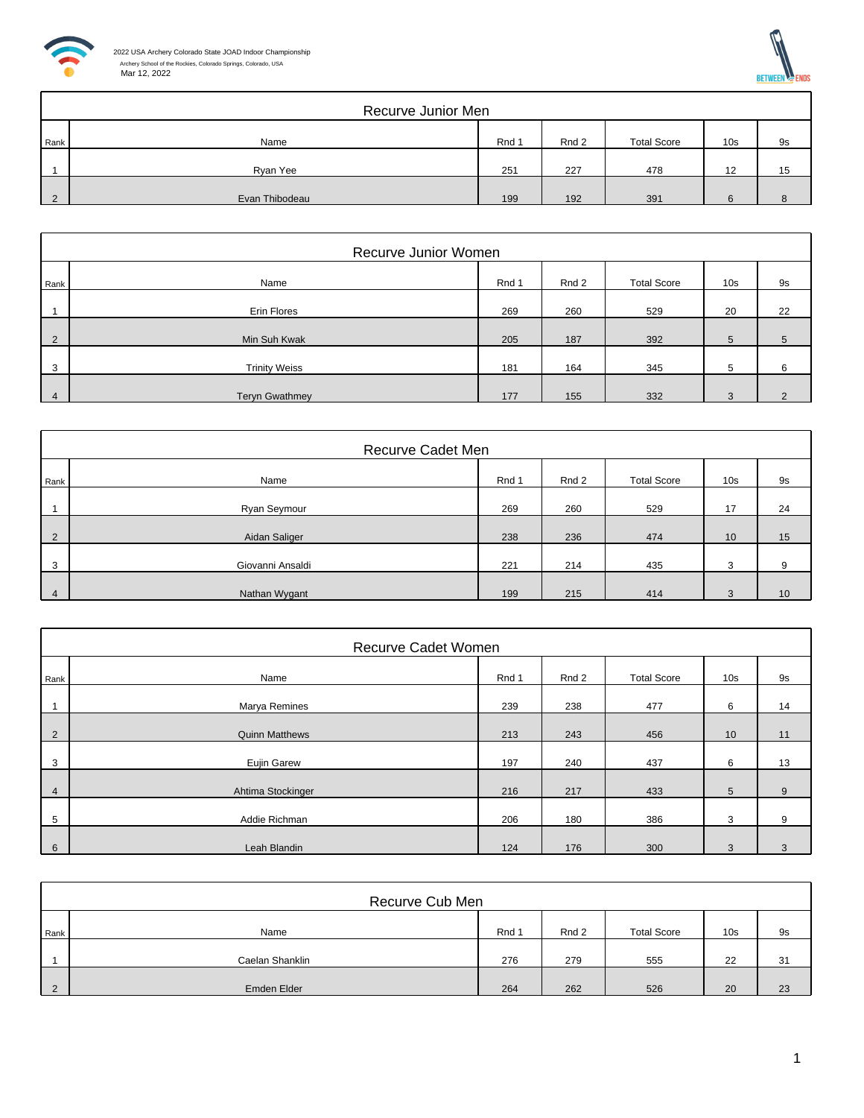



|               | Recurve Junior Men |       |       |                    |                 |    |  |  |  |  |
|---------------|--------------------|-------|-------|--------------------|-----------------|----|--|--|--|--|
| Rank          | Name               | Rnd 1 | Rnd 2 | <b>Total Score</b> | 10 <sub>s</sub> | 9s |  |  |  |  |
|               | Ryan Yee           | 251   | 227   | 478                | 12              | 15 |  |  |  |  |
| $\mathcal{D}$ | Evan Thibodeau     | 199   | 192   | 391                |                 |    |  |  |  |  |

|                | Recurve Junior Women  |       |       |                    |                 |               |  |  |  |
|----------------|-----------------------|-------|-------|--------------------|-----------------|---------------|--|--|--|
| Rank           | Name                  | Rnd 1 | Rnd 2 | <b>Total Score</b> | 10 <sub>s</sub> | 9s            |  |  |  |
|                | Erin Flores           | 269   | 260   | 529                | 20              | 22            |  |  |  |
| $\overline{2}$ | Min Suh Kwak          | 205   | 187   | 392                | 5               | 5             |  |  |  |
| 3              | <b>Trinity Weiss</b>  | 181   | 164   | 345                | 5               | 6             |  |  |  |
| 4              | <b>Teryn Gwathmey</b> | 177   | 155   | 332                | 3               | $\mathcal{D}$ |  |  |  |

|                | Recurve Cadet Men |       |       |                    |                 |                 |  |  |  |
|----------------|-------------------|-------|-------|--------------------|-----------------|-----------------|--|--|--|
| Rank           | Name              | Rnd 1 | Rnd 2 | <b>Total Score</b> | 10 <sub>s</sub> | <b>9s</b>       |  |  |  |
|                | Ryan Seymour      | 269   | 260   | 529                | 17              | 24              |  |  |  |
| $\mathcal{P}$  | Aidan Saliger     | 238   | 236   | 474                | 10              | 15              |  |  |  |
| 3              | Giovanni Ansaldi  | 221   | 214   | 435                | 3               | 9               |  |  |  |
| $\overline{4}$ | Nathan Wygant     | 199   | 215   | 414                | 3               | 10 <sup>°</sup> |  |  |  |

|                | Recurve Cadet Women   |       |       |                    |                 |    |  |  |  |  |
|----------------|-----------------------|-------|-------|--------------------|-----------------|----|--|--|--|--|
| Rank           | Name                  | Rnd 1 | Rnd 2 | <b>Total Score</b> | 10 <sub>s</sub> | 9s |  |  |  |  |
|                | Marya Remines         | 239   | 238   | 477                | 6               | 14 |  |  |  |  |
| $\overline{2}$ | <b>Quinn Matthews</b> | 213   | 243   | 456                | 10              | 11 |  |  |  |  |
| 3              | Eujin Garew           | 197   | 240   | 437                | 6               | 13 |  |  |  |  |
| $\overline{4}$ | Ahtima Stockinger     | 216   | 217   | 433                | $5^{\circ}$     | 9  |  |  |  |  |
| 5              | Addie Richman         | 206   | 180   | 386                | 3               | 9  |  |  |  |  |
| 6              | Leah Blandin          | 124   | 176   | 300                | 3               | 3  |  |  |  |  |

|      | Recurve Cub Men |       |       |                    |                 |    |  |  |  |
|------|-----------------|-------|-------|--------------------|-----------------|----|--|--|--|
| Rank | Name            | Rnd 1 | Rnd 2 | <b>Total Score</b> | 10 <sub>s</sub> | 9s |  |  |  |
|      | Caelan Shanklin | 276   | 279   | 555                | 22              | 31 |  |  |  |
|      | Emden Elder     | 264   | 262   | 526                | 20              | 23 |  |  |  |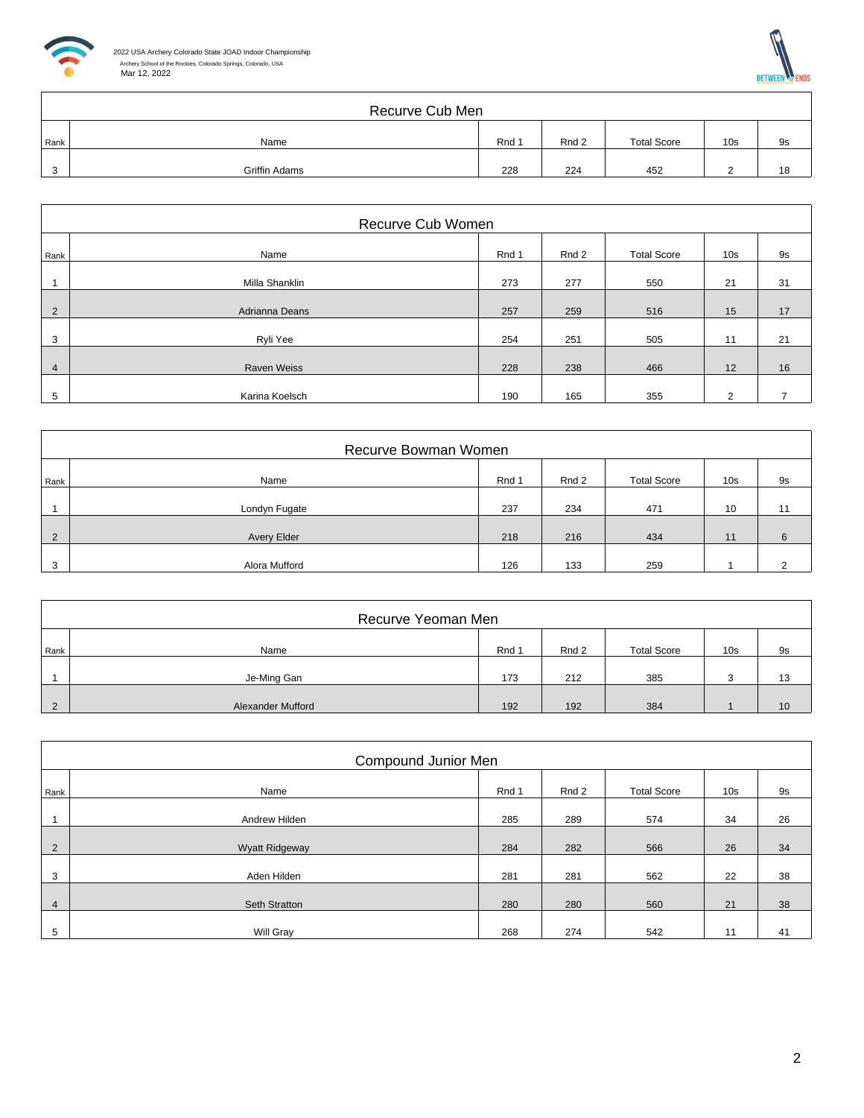



|         | Recurve Cub Men |       |       |                    |                 |    |  |  |  |
|---------|-----------------|-------|-------|--------------------|-----------------|----|--|--|--|
| Rank    | Name            | Rnd 1 | Rnd 2 | <b>Total Score</b> | 10 <sub>s</sub> | 9s |  |  |  |
| ົ<br>ر. | Griffin Adams   | 228   | 224   | 452                |                 | 18 |  |  |  |

|                | Recurve Cub Women  |       |       |                    |                 |    |  |  |  |  |
|----------------|--------------------|-------|-------|--------------------|-----------------|----|--|--|--|--|
| Rank           | Name               | Rnd 1 | Rnd 2 | <b>Total Score</b> | 10 <sub>s</sub> | 9s |  |  |  |  |
|                | Milla Shanklin     | 273   | 277   | 550                | 21              | 31 |  |  |  |  |
| 2              | Adrianna Deans     | 257   | 259   | 516                | 15              | 17 |  |  |  |  |
| 3              | Ryli Yee           | 254   | 251   | 505                | 11              | 21 |  |  |  |  |
| $\overline{4}$ | <b>Raven Weiss</b> | 228   | 238   | 466                | 12              | 16 |  |  |  |  |
| 5              | Karina Koelsch     | 190   | 165   | 355                | $\mathcal{P}$   |    |  |  |  |  |

|          | Recurve Bowman Women |       |       |                    |                 |    |  |  |  |  |
|----------|----------------------|-------|-------|--------------------|-----------------|----|--|--|--|--|
| Rank     | Name                 | Rnd 1 | Rnd 2 | <b>Total Score</b> | 10 <sub>s</sub> | 9s |  |  |  |  |
|          | Londyn Fugate        | 237   | 234   | 471                | 10              | 11 |  |  |  |  |
| $\Omega$ | Avery Elder          | 218   | 216   | 434                | 11              | 6  |  |  |  |  |
| 3        | Alora Mufford        | 126   | 133   | 259                |                 | ◠  |  |  |  |  |

|          | Recurve Yeoman Men |       |       |                    |                 |    |  |  |  |
|----------|--------------------|-------|-------|--------------------|-----------------|----|--|--|--|
| Rank     | Name               | Rnd 1 | Rnd 2 | <b>Total Score</b> | 10 <sub>s</sub> | 9s |  |  |  |
|          | Je-Ming Gan        | 173   | 212   | 385                | ີ               | 13 |  |  |  |
| $\Omega$ | Alexander Mufford  | 192   | 192   | 384                |                 | 10 |  |  |  |

|                | Compound Junior Men   |       |       |                    |                 |    |  |  |  |
|----------------|-----------------------|-------|-------|--------------------|-----------------|----|--|--|--|
| Rank           | Name                  | Rnd 1 | Rnd 2 | <b>Total Score</b> | 10 <sub>s</sub> | 9s |  |  |  |
|                | Andrew Hilden         | 285   | 289   | 574                | 34              | 26 |  |  |  |
| $\overline{2}$ | <b>Wyatt Ridgeway</b> | 284   | 282   | 566                | 26              | 34 |  |  |  |
| 3              | Aden Hilden           | 281   | 281   | 562                | 22              | 38 |  |  |  |
| $\overline{4}$ | Seth Stratton         | 280   | 280   | 560                | 21              | 38 |  |  |  |
| 5              | Will Gray             | 268   | 274   | 542                | 11              | 41 |  |  |  |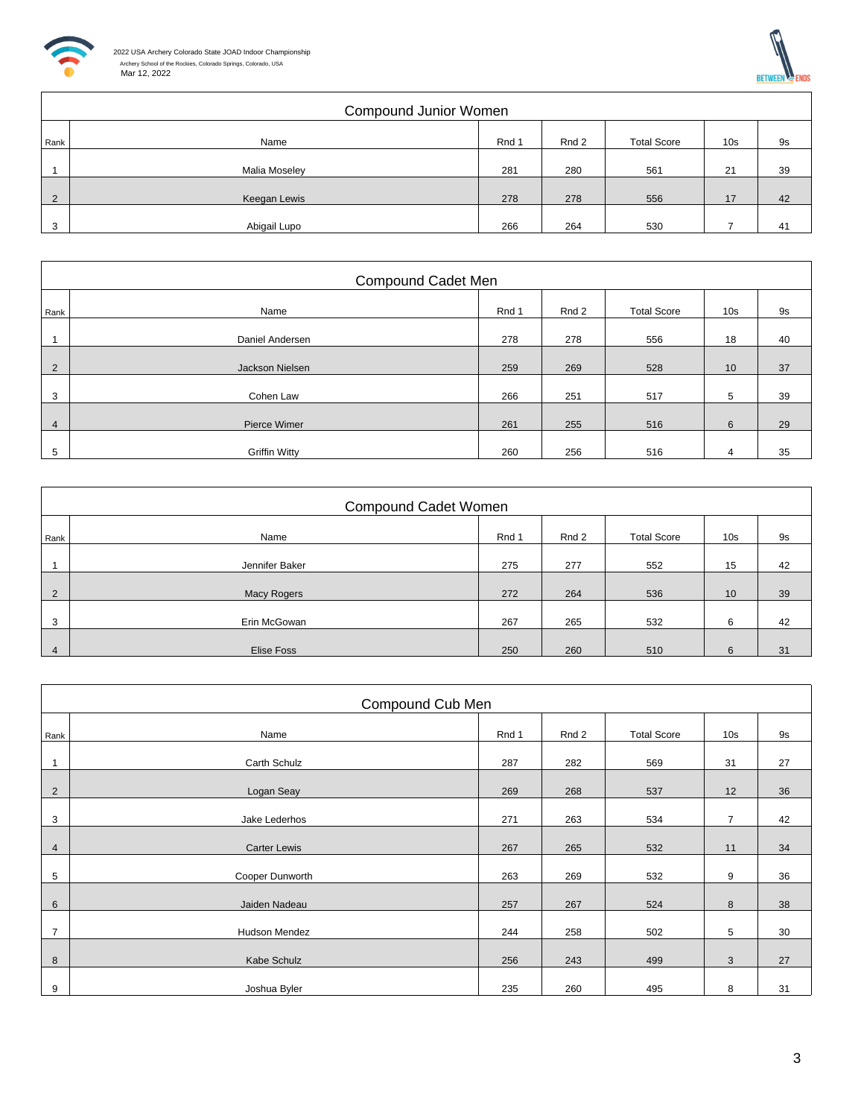

|                | Compound Junior Women |       |       |                    |                 |    |  |  |  |
|----------------|-----------------------|-------|-------|--------------------|-----------------|----|--|--|--|
| Rank           | Name                  | Rnd 1 | Rnd 2 | <b>Total Score</b> | 10 <sub>s</sub> | 9s |  |  |  |
|                | Malia Moseley         | 281   | 280   | 561                | 21              | 39 |  |  |  |
| $\overline{2}$ | Keegan Lewis          | 278   | 278   | 556                | 17              | 42 |  |  |  |
| 3              | Abigail Lupo          | 266   | 264   | 530                |                 | 41 |  |  |  |

|                | Compound Cadet Men   |       |       |                    |                 |    |  |  |  |  |
|----------------|----------------------|-------|-------|--------------------|-----------------|----|--|--|--|--|
| Rank           | Name                 | Rnd 1 | Rnd 2 | <b>Total Score</b> | 10 <sub>s</sub> | 9s |  |  |  |  |
|                | Daniel Andersen      | 278   | 278   | 556                | 18              | 40 |  |  |  |  |
| $\overline{2}$ | Jackson Nielsen      | 259   | 269   | 528                | 10 <sup>°</sup> | 37 |  |  |  |  |
| 3              | Cohen Law            | 266   | 251   | 517                | 5               | 39 |  |  |  |  |
| 4              | Pierce Wimer         | 261   | 255   | 516                | 6               | 29 |  |  |  |  |
| 5              | <b>Griffin Witty</b> | 260   | 256   | 516                | 4               | 35 |  |  |  |  |

|                | <b>Compound Cadet Women</b> |       |       |                    |                 |           |  |  |  |
|----------------|-----------------------------|-------|-------|--------------------|-----------------|-----------|--|--|--|
| Rank           | Name                        | Rnd 1 | Rnd 2 | <b>Total Score</b> | 10 <sub>s</sub> | <b>9s</b> |  |  |  |
|                | Jennifer Baker              | 275   | 277   | 552                | 15              | 42        |  |  |  |
| $\overline{2}$ | Macy Rogers                 | 272   | 264   | 536                | 10              | 39        |  |  |  |
| 3              | Erin McGowan                | 267   | 265   | 532                | 6               | 42        |  |  |  |
| $\overline{4}$ | Elise Foss                  | 250   | 260   | 510                | 6               | 31        |  |  |  |

|                | Compound Cub Men    |       |       |                    |                 |           |  |  |  |  |
|----------------|---------------------|-------|-------|--------------------|-----------------|-----------|--|--|--|--|
| Rank           | Name                | Rnd 1 | Rnd 2 | <b>Total Score</b> | 10 <sub>s</sub> | <b>9s</b> |  |  |  |  |
|                | Carth Schulz        | 287   | 282   | 569                | 31              | 27        |  |  |  |  |
| $\overline{2}$ | Logan Seay          | 269   | 268   | 537                | 12              | 36        |  |  |  |  |
| 3              | Jake Lederhos       | 271   | 263   | 534                | $\overline{7}$  | 42        |  |  |  |  |
| $\overline{4}$ | <b>Carter Lewis</b> | 267   | 265   | 532                | 11              | 34        |  |  |  |  |
| 5              | Cooper Dunworth     | 263   | 269   | 532                | 9               | 36        |  |  |  |  |
| 6              | Jaiden Nadeau       | 257   | 267   | 524                | 8               | 38        |  |  |  |  |
| $\overline{7}$ | Hudson Mendez       | 244   | 258   | 502                | 5               | 30        |  |  |  |  |
|                | Kabe Schulz         | 256   | 243   |                    |                 | 27        |  |  |  |  |
| 8              |                     |       |       | 499                | 3               |           |  |  |  |  |
| 9              | Joshua Byler        | 235   | 260   | 495                | 8               | 31        |  |  |  |  |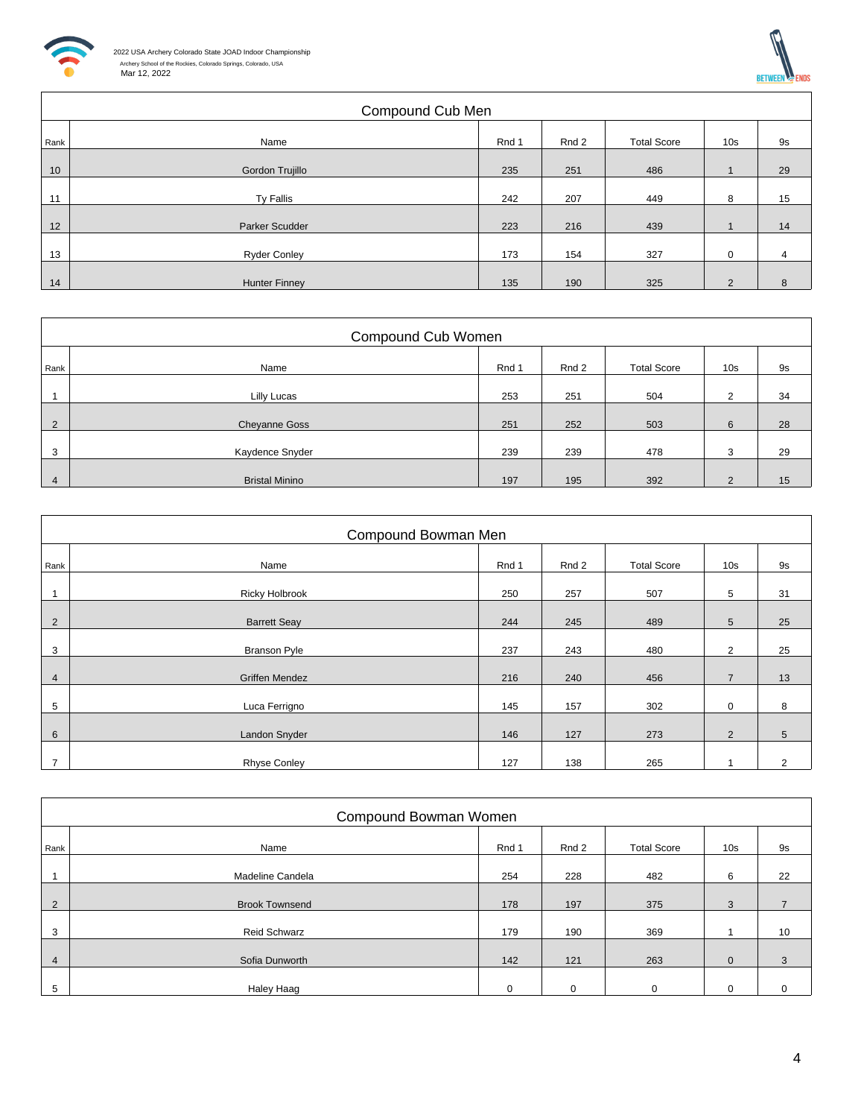



|      | Compound Cub Men     |       |       |                    |                 |    |  |  |  |
|------|----------------------|-------|-------|--------------------|-----------------|----|--|--|--|
| Rank | Name                 | Rnd 1 | Rnd 2 | <b>Total Score</b> | 10 <sub>s</sub> | 9s |  |  |  |
| 10   | Gordon Trujillo      | 235   | 251   | 486                |                 | 29 |  |  |  |
| 11   | <b>Ty Fallis</b>     | 242   | 207   | 449                | 8               | 15 |  |  |  |
| 12   | Parker Scudder       | 223   | 216   | 439                |                 | 14 |  |  |  |
| 13   | <b>Ryder Conley</b>  | 173   | 154   | 327                | $\mathbf 0$     | 4  |  |  |  |
| 14   | <b>Hunter Finney</b> | 135   | 190   | 325                | 2               | 8  |  |  |  |

|                | Compound Cub Women    |       |       |                    |                 |    |  |  |  |
|----------------|-----------------------|-------|-------|--------------------|-----------------|----|--|--|--|
| Rank           | Name                  | Rnd 1 | Rnd 2 | <b>Total Score</b> | 10 <sub>s</sub> | 9s |  |  |  |
|                | Lilly Lucas           | 253   | 251   | 504                | 2               | 34 |  |  |  |
| 2              | <b>Cheyanne Goss</b>  | 251   | 252   | 503                | 6               | 28 |  |  |  |
| 3              | Kaydence Snyder       | 239   | 239   | 478                | 3               | 29 |  |  |  |
| $\overline{4}$ | <b>Bristal Minino</b> | 197   | 195   | 392                | $\mathcal{P}$   | 15 |  |  |  |

|      | Compound Bowman Men   |       |       |                    |                 |           |  |  |  |  |
|------|-----------------------|-------|-------|--------------------|-----------------|-----------|--|--|--|--|
| Rank | Name                  | Rnd 1 | Rnd 2 | <b>Total Score</b> | 10 <sub>s</sub> | <b>9s</b> |  |  |  |  |
|      | <b>Ricky Holbrook</b> | 250   | 257   | 507                | 5               | 31        |  |  |  |  |
| 2    | <b>Barrett Seay</b>   | 244   | 245   | 489                | $5\phantom{.0}$ | 25        |  |  |  |  |
| 3    | <b>Branson Pyle</b>   | 237   | 243   | 480                | 2               | 25        |  |  |  |  |
| 4    | <b>Griffen Mendez</b> | 216   | 240   | 456                | $\overline{7}$  | 13        |  |  |  |  |
| 5    | Luca Ferrigno         | 145   | 157   | 302                | $\mathbf 0$     | 8         |  |  |  |  |
| 6    | Landon Snyder         | 146   | 127   | 273                | 2               | 5         |  |  |  |  |
| 7    | <b>Rhyse Conley</b>   | 127   | 138   | 265                |                 | 2         |  |  |  |  |

|                | Compound Bowman Women |             |          |                    |                 |                |  |  |  |
|----------------|-----------------------|-------------|----------|--------------------|-----------------|----------------|--|--|--|
| Rank           | Name                  | Rnd 1       | Rnd 2    | <b>Total Score</b> | 10 <sub>s</sub> | 9s             |  |  |  |
|                | Madeline Candela      | 254         | 228      | 482                | 6               | 22             |  |  |  |
| $\overline{2}$ | <b>Brook Townsend</b> | 178         | 197      | 375                | 3               | $\overline{7}$ |  |  |  |
| 3              | <b>Reid Schwarz</b>   | 179         | 190      | 369                |                 | 10             |  |  |  |
| $\overline{4}$ | Sofia Dunworth        | 142         | 121      | 263                | $\Omega$        | 3              |  |  |  |
| 5              | Haley Haag            | $\mathbf 0$ | $\Omega$ | $\mathbf 0$        | $\Omega$        | 0              |  |  |  |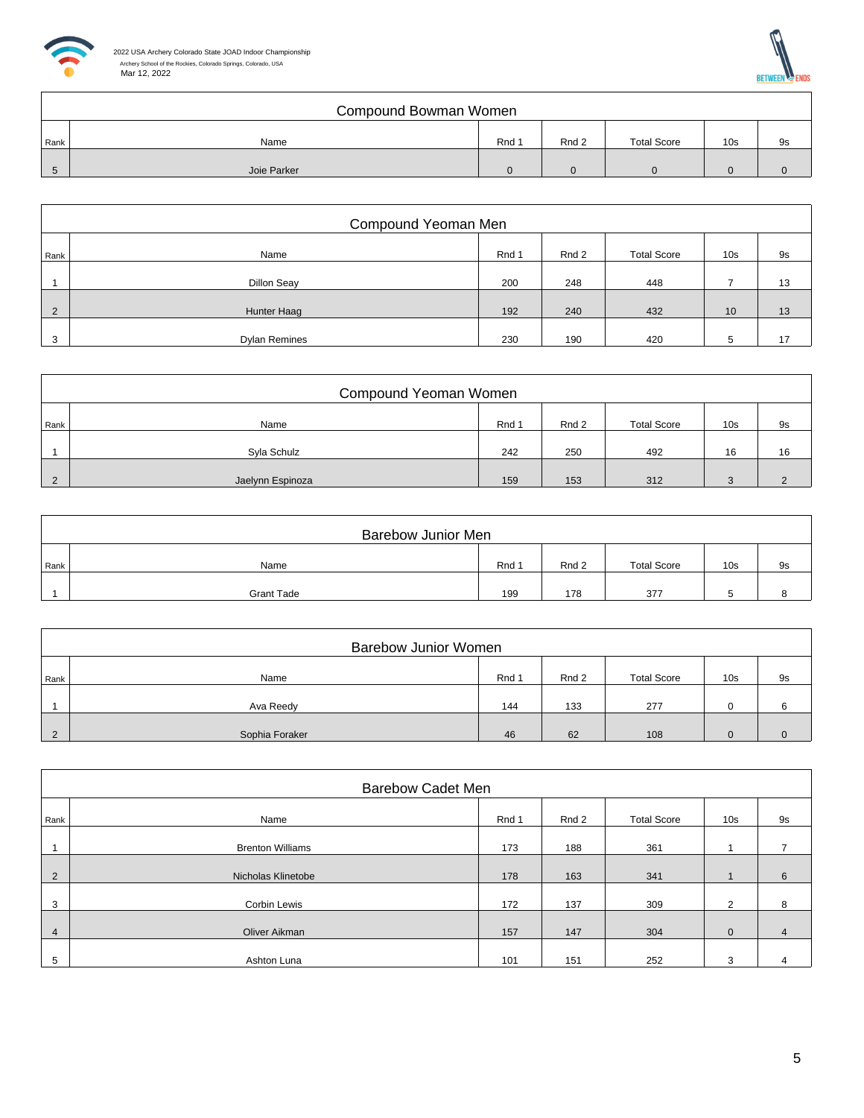



|      | Compound Bowman Women |       |       |                    |                 |    |  |  |  |
|------|-----------------------|-------|-------|--------------------|-----------------|----|--|--|--|
| Rank | Name                  | Rnd 1 | Rnd 2 | <b>Total Score</b> | 10 <sub>s</sub> | 9s |  |  |  |
|      | Joie Parker           |       |       |                    |                 |    |  |  |  |

|                | Compound Yeoman Men  |       |       |                    |                 |    |  |  |  |  |
|----------------|----------------------|-------|-------|--------------------|-----------------|----|--|--|--|--|
| Rank           | Name                 | Rnd 1 | Rnd 2 | <b>Total Score</b> | 10 <sub>s</sub> | 9s |  |  |  |  |
|                | <b>Dillon Seav</b>   | 200   | 248   | 448                |                 | 13 |  |  |  |  |
| $\overline{2}$ | Hunter Haag          | 192   | 240   | 432                | 10              | 13 |  |  |  |  |
| 3              | <b>Dylan Remines</b> | 230   | 190   | 420                |                 | 17 |  |  |  |  |

|               | Compound Yeoman Women |       |       |                    |                 |    |  |  |  |
|---------------|-----------------------|-------|-------|--------------------|-----------------|----|--|--|--|
| Rank          | Name                  | Rnd 1 | Rnd 2 | <b>Total Score</b> | 10 <sub>s</sub> | 9s |  |  |  |
|               | Syla Schulz           | 242   | 250   | 492                | 16              | 16 |  |  |  |
| $\mathcal{P}$ | Jaelynn Espinoza      | 159   | 153   | 312                |                 |    |  |  |  |

|      | <b>Barebow Junior Men</b> |       |       |                    |                 |    |  |  |  |
|------|---------------------------|-------|-------|--------------------|-----------------|----|--|--|--|
| Rank | Name                      | Rnd 1 | Rnd 2 | <b>Total Score</b> | 10 <sub>s</sub> | 9s |  |  |  |
|      | <b>Grant Tade</b>         | 199   | 178   | 377                |                 |    |  |  |  |

|      | <b>Barebow Junior Women</b> |       |       |                    |                 |    |  |  |  |  |
|------|-----------------------------|-------|-------|--------------------|-----------------|----|--|--|--|--|
| Rank | Name                        | Rnd 1 | Rnd 2 | <b>Total Score</b> | 10 <sub>s</sub> | 9s |  |  |  |  |
|      | Ava Reedy                   | 144   | 133   | 277                |                 |    |  |  |  |  |
|      | Sophia Foraker              | 46    | 62    | 108                |                 |    |  |  |  |  |

|                | <b>Barebow Cadet Men</b> |       |       |                    |                 |                |  |  |  |  |
|----------------|--------------------------|-------|-------|--------------------|-----------------|----------------|--|--|--|--|
| Rank           | Name                     | Rnd 1 | Rnd 2 | <b>Total Score</b> | 10 <sub>s</sub> | 9s             |  |  |  |  |
|                | <b>Brenton Williams</b>  | 173   | 188   | 361                |                 | ⇁              |  |  |  |  |
| 2              | Nicholas Klinetobe       | 178   | 163   | 341                |                 | 6              |  |  |  |  |
| 3              | Corbin Lewis             | 172   | 137   | 309                | 2               | 8              |  |  |  |  |
| $\overline{4}$ | Oliver Aikman            | 157   | 147   | 304                | $\mathbf{0}$    | $\overline{4}$ |  |  |  |  |
|                |                          |       |       |                    |                 |                |  |  |  |  |
| 5              | Ashton Luna              | 101   | 151   | 252                | 3               |                |  |  |  |  |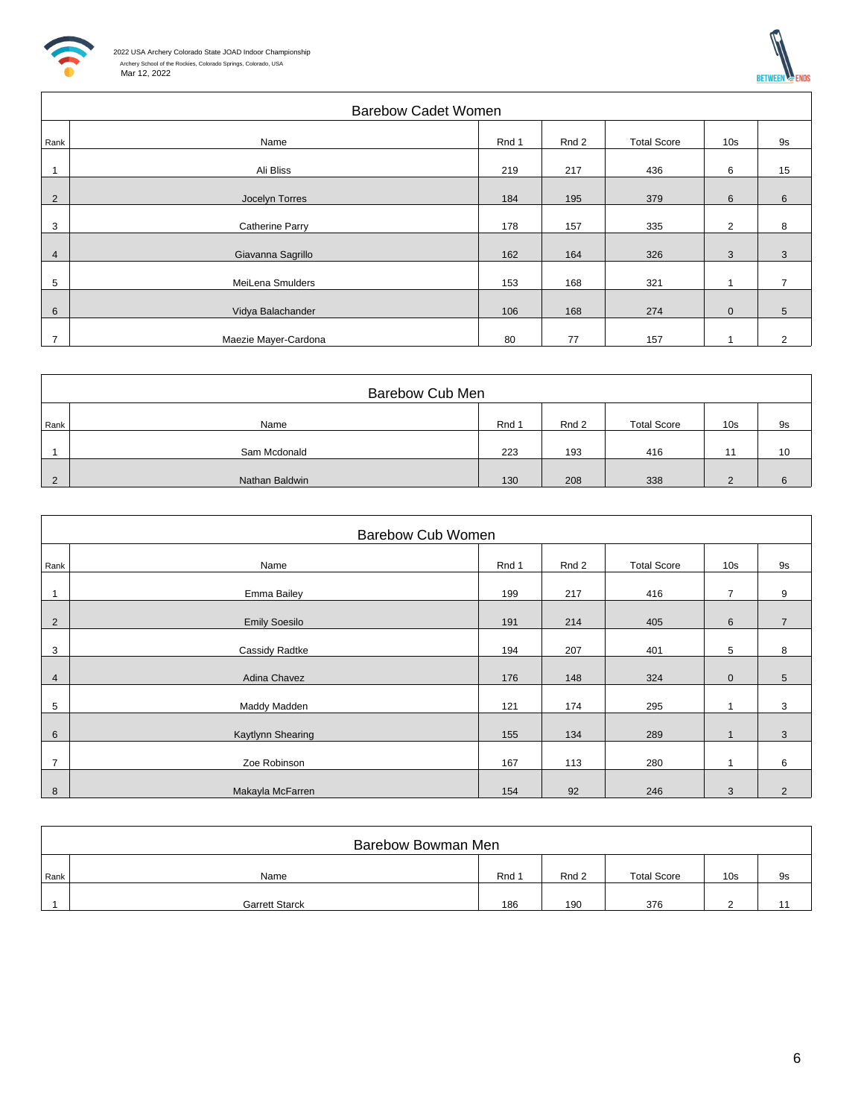



|                | <b>Barebow Cadet Women</b> |       |       |                    |                 |                |  |  |
|----------------|----------------------------|-------|-------|--------------------|-----------------|----------------|--|--|
| Rank           | Name                       | Rnd 1 | Rnd 2 | <b>Total Score</b> | 10 <sub>s</sub> | 9s             |  |  |
|                | Ali Bliss                  | 219   | 217   | 436                | 6               | 15             |  |  |
| $\overline{2}$ | Jocelyn Torres             | 184   | 195   | 379                | 6               | 6              |  |  |
| 3              | Catherine Parry            | 178   | 157   | 335                | $\overline{2}$  | 8              |  |  |
| $\overline{4}$ | Giavanna Sagrillo          | 162   | 164   | 326                | 3               | 3              |  |  |
| 5              | MeiLena Smulders           | 153   | 168   | 321                |                 | 7              |  |  |
| 6              | Vidya Balachander          | 106   | 168   | 274                | $\mathbf 0$     | 5              |  |  |
| $\overline{7}$ | Maezie Mayer-Cardona       | 80    | 77    | 157                |                 | $\overline{2}$ |  |  |

|      | Barebow Cub Men |       |       |                    |                 |    |
|------|-----------------|-------|-------|--------------------|-----------------|----|
| Rank | Name            | Rnd 1 | Rnd 2 | <b>Total Score</b> | 10 <sub>s</sub> | 9s |
|      | Sam Mcdonald    | 223   | 193   | 416                |                 | 10 |
|      | Nathan Baldwin  | 130   | 208   | 338                |                 |    |

|                          | <b>Barebow Cub Women</b> |       |       |                    |                 |                |  |  |  |
|--------------------------|--------------------------|-------|-------|--------------------|-----------------|----------------|--|--|--|
| Rank                     | Name                     | Rnd 1 | Rnd 2 | <b>Total Score</b> | 10 <sub>s</sub> | 9s             |  |  |  |
| $\overline{\phantom{a}}$ | Emma Bailey              | 199   | 217   | 416                | $\overline{7}$  | 9              |  |  |  |
| 2                        | <b>Emily Soesilo</b>     | 191   | 214   | 405                | 6               | $\overline{7}$ |  |  |  |
| 3                        | Cassidy Radtke           | 194   | 207   | 401                | 5               | 8              |  |  |  |
| $\overline{4}$           | Adina Chavez             | 176   | 148   | 324                | $\mathbf{0}$    | 5              |  |  |  |
| 5                        | Maddy Madden             | 121   | 174   | 295                |                 | 3              |  |  |  |
| 6                        | Kaytlynn Shearing        | 155   | 134   | 289                |                 | 3              |  |  |  |
| $\overline{7}$           | Zoe Robinson             | 167   | 113   | 280                |                 | 6              |  |  |  |
| 8                        | Makayla McFarren         | 154   | 92    | 246                | 3               | $\overline{2}$ |  |  |  |

|      | Barebow Bowman Men    |       |       |                    |                 |    |
|------|-----------------------|-------|-------|--------------------|-----------------|----|
| Rank | Name                  | Rnd 1 | Rnd 2 | <b>Total Score</b> | 10 <sub>s</sub> | 9s |
|      | <b>Garrett Starck</b> | 186   | 190   | 376                |                 |    |